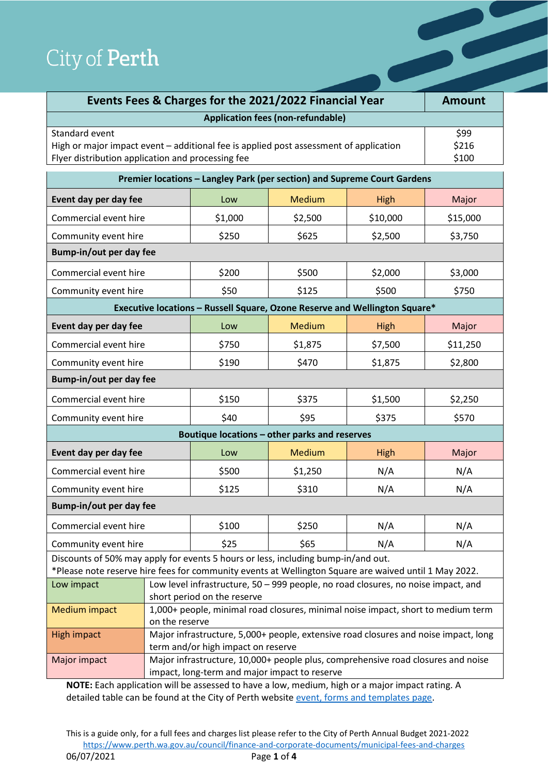| City of Perth                                                                                                                                                                              |  |                                                                                   |                                          |                        |               |
|--------------------------------------------------------------------------------------------------------------------------------------------------------------------------------------------|--|-----------------------------------------------------------------------------------|------------------------------------------|------------------------|---------------|
|                                                                                                                                                                                            |  |                                                                                   |                                          |                        |               |
|                                                                                                                                                                                            |  | Events Fees & Charges for the 2021/2022 Financial Year                            |                                          |                        | <b>Amount</b> |
|                                                                                                                                                                                            |  |                                                                                   | <b>Application fees (non-refundable)</b> |                        |               |
| Standard event<br>High or major impact event - additional fee is applied post assessment of application<br>Flyer distribution application and processing fee                               |  |                                                                                   |                                          | \$99<br>\$216<br>\$100 |               |
|                                                                                                                                                                                            |  | Premier locations - Langley Park (per section) and Supreme Court Gardens          |                                          |                        |               |
| Event day per day fee                                                                                                                                                                      |  | Low                                                                               | <b>Medium</b>                            | High                   | Major         |
| Commercial event hire                                                                                                                                                                      |  | \$1,000                                                                           | \$2,500                                  | \$10,000               | \$15,000      |
| Community event hire                                                                                                                                                                       |  | \$250                                                                             | \$625                                    | \$2,500                | \$3,750       |
| Bump-in/out per day fee                                                                                                                                                                    |  |                                                                                   |                                          |                        |               |
| Commercial event hire                                                                                                                                                                      |  | \$200                                                                             | \$500                                    | \$2,000                | \$3,000       |
| Community event hire                                                                                                                                                                       |  | \$50                                                                              | \$125                                    | \$500                  | \$750         |
|                                                                                                                                                                                            |  | Executive locations - Russell Square, Ozone Reserve and Wellington Square*        |                                          |                        |               |
| Event day per day fee                                                                                                                                                                      |  | Low                                                                               | Medium                                   | High                   | Major         |
| Commercial event hire                                                                                                                                                                      |  | \$750                                                                             | \$1,875                                  | \$7,500                | \$11,250      |
| Community event hire                                                                                                                                                                       |  | \$190                                                                             | \$470                                    | \$1,875                | \$2,800       |
| Bump-in/out per day fee                                                                                                                                                                    |  |                                                                                   |                                          |                        |               |
| Commercial event hire                                                                                                                                                                      |  | \$150                                                                             | \$375                                    | \$1,500                | \$2,250       |
| Community event hire                                                                                                                                                                       |  | \$40                                                                              | \$95                                     | \$375                  | \$570         |
|                                                                                                                                                                                            |  | Boutique locations - other parks and reserves                                     |                                          |                        |               |
| Event day per day fee                                                                                                                                                                      |  | Low                                                                               | <b>Medium</b>                            | High                   | Major         |
| Commercial event hire                                                                                                                                                                      |  | \$500                                                                             | \$1,250                                  | N/A                    | N/A           |
| Community event hire                                                                                                                                                                       |  | \$125                                                                             | \$310                                    | N/A                    | N/A           |
| Bump-in/out per day fee                                                                                                                                                                    |  |                                                                                   |                                          |                        |               |
| Commercial event hire                                                                                                                                                                      |  | \$100                                                                             | \$250                                    | N/A                    | N/A           |
| Community event hire                                                                                                                                                                       |  | \$25                                                                              | \$65                                     | N/A                    | N/A           |
| Discounts of 50% may apply for events 5 hours or less, including bump-in/and out.<br>*Please note reserve hire fees for community events at Wellington Square are waived until 1 May 2022. |  |                                                                                   |                                          |                        |               |
| Low impact                                                                                                                                                                                 |  | Low level infrastructure, 50 - 999 people, no road closures, no noise impact, and |                                          |                        |               |

|               | short period on the reserve                                                         |
|---------------|-------------------------------------------------------------------------------------|
| Medium impact | 1,000+ people, minimal road closures, minimal noise impact, short to medium term    |
|               | on the reserve                                                                      |
| High impact   | Major infrastructure, 5,000+ people, extensive road closures and noise impact, long |
|               | term and/or high impact on reserve                                                  |
| Major impact  | Major infrastructure, 10,000+ people plus, comprehensive road closures and noise    |
|               | impact, long-term and major impact to reserve                                       |

**NOTE:** Each application will be assessed to have a low, medium, high or a major impact rating. A detailed table can be found at the City of Perth websit[e event, forms and templates page.](https://www.perth.wa.gov.au/forms-and-payments/Hire-and-Bookings/event-forms-and-templates)

This is a guide only, for a full fees and charges list please refer to the City of Perth Annual Budget 2021-2022 <https://www.perth.wa.gov.au/council/finance-and-corporate-documents/municipal-fees-and-charges> 06/07/2021 Page **1** of **4**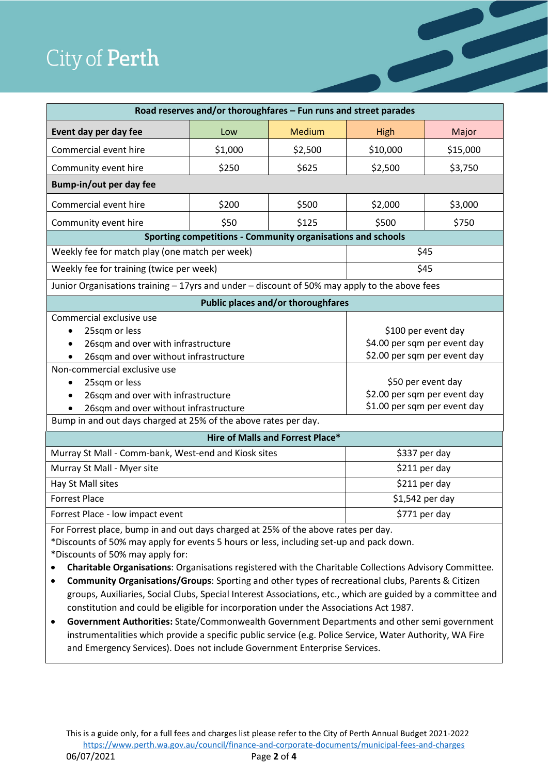| City of <b>Perth</b>                                                                                                                                                                                                 |                                                                  |                                    |                                                                                                                                           |          |
|----------------------------------------------------------------------------------------------------------------------------------------------------------------------------------------------------------------------|------------------------------------------------------------------|------------------------------------|-------------------------------------------------------------------------------------------------------------------------------------------|----------|
|                                                                                                                                                                                                                      |                                                                  |                                    |                                                                                                                                           |          |
|                                                                                                                                                                                                                      | Road reserves and/or thoroughfares - Fun runs and street parades |                                    |                                                                                                                                           |          |
| Event day per day fee                                                                                                                                                                                                | Low                                                              | <b>Medium</b>                      | <b>High</b>                                                                                                                               | Major    |
| Commercial event hire                                                                                                                                                                                                | \$1,000                                                          | \$2,500                            | \$10,000                                                                                                                                  | \$15,000 |
| Community event hire                                                                                                                                                                                                 | \$250                                                            | \$625                              | \$2,500                                                                                                                                   | \$3,750  |
| Bump-in/out per day fee                                                                                                                                                                                              |                                                                  |                                    |                                                                                                                                           |          |
| Commercial event hire                                                                                                                                                                                                | \$200                                                            | \$500                              | \$2,000                                                                                                                                   | \$3,000  |
| Community event hire                                                                                                                                                                                                 | \$50                                                             | \$125                              | \$500                                                                                                                                     | \$750    |
| Sporting competitions - Community organisations and schools                                                                                                                                                          |                                                                  |                                    |                                                                                                                                           |          |
| Weekly fee for match play (one match per week)                                                                                                                                                                       |                                                                  |                                    | \$45                                                                                                                                      |          |
| Weekly fee for training (twice per week)                                                                                                                                                                             |                                                                  |                                    | \$45                                                                                                                                      |          |
| Junior Organisations training - 17yrs and under - discount of 50% may apply to the above fees                                                                                                                        |                                                                  |                                    |                                                                                                                                           |          |
|                                                                                                                                                                                                                      |                                                                  | Public places and/or thoroughfares |                                                                                                                                           |          |
| Commercial exclusive use<br>25sqm or less<br>26sqm and over with infrastructure<br>26sqm and over without infrastructure<br>Non-commercial exclusive use<br>25sqm or less<br>٠<br>26sqm and over with infrastructure |                                                                  |                                    | \$100 per event day<br>\$4.00 per sqm per event day<br>\$2.00 per sqm per event day<br>\$50 per event day<br>\$2.00 per sqm per event day |          |
| 26sqm and over without infrastructure                                                                                                                                                                                |                                                                  |                                    | \$1.00 per sqm per event day                                                                                                              |          |
| Bump in and out days charged at 25% of the above rates per day.                                                                                                                                                      |                                                                  |                                    |                                                                                                                                           |          |
|                                                                                                                                                                                                                      |                                                                  | Hire of Malls and Forrest Place*   |                                                                                                                                           |          |
| Murray St Mall - Comm-bank, West-end and Kiosk sites                                                                                                                                                                 |                                                                  |                                    | \$337 per day                                                                                                                             |          |
| Murray St Mall - Myer site                                                                                                                                                                                           |                                                                  |                                    | \$211 per day                                                                                                                             |          |
| Hay St Mall sites                                                                                                                                                                                                    |                                                                  |                                    | \$211 per day                                                                                                                             |          |
| <b>Forrest Place</b>                                                                                                                                                                                                 |                                                                  |                                    | \$1,542 per day<br>\$771 per day                                                                                                          |          |
| Forrest Place - low impact event                                                                                                                                                                                     |                                                                  |                                    |                                                                                                                                           |          |
| For Forrest place, bump in and out days charged at 25% of the above rates per day.<br>*Discounts of 50% may apply for events 5 hours or less, including set-up and pack down.                                        |                                                                  |                                    |                                                                                                                                           |          |
| *Discounts of 50% may apply for:<br>٠                                                                                                                                                                                |                                                                  |                                    |                                                                                                                                           |          |
| Charitable Organisations: Organisations registered with the Charitable Collections Advisory Committee.<br>Community Organisations/Groups: Sporting and other types of recreational clubs, Parents & Citizen<br>٠     |                                                                  |                                    |                                                                                                                                           |          |

• **Government Authorities:** State/Commonwealth Government Departments and other semi government instrumentalities which provide a specific public service (e.g. Police Service, Water Authority, WA Fire and Emergency Services). Does not include Government Enterprise Services.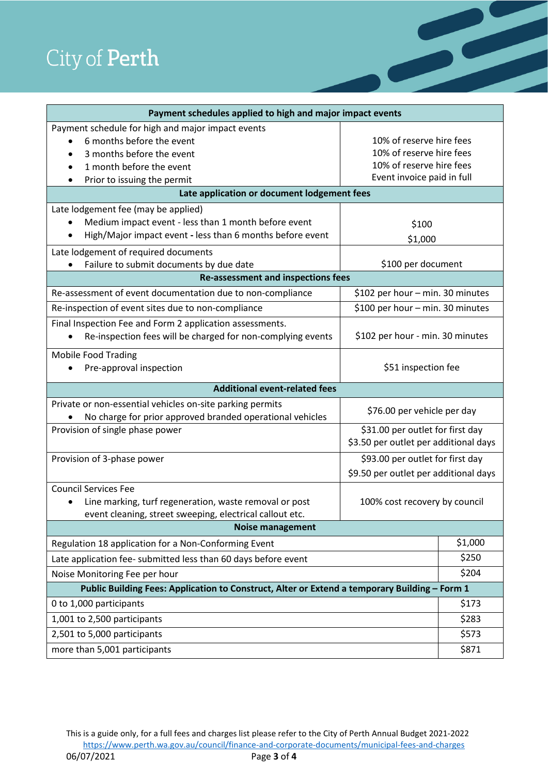| Payment schedules applied to high and major impact events                                                                                                                                        |                                                                                                                |                |  |  |
|--------------------------------------------------------------------------------------------------------------------------------------------------------------------------------------------------|----------------------------------------------------------------------------------------------------------------|----------------|--|--|
| Payment schedule for high and major impact events<br>6 months before the event<br>3 months before the event<br>1 month before the event<br>Prior to issuing the permit<br>$\bullet$              | 10% of reserve hire fees<br>10% of reserve hire fees<br>10% of reserve hire fees<br>Event invoice paid in full |                |  |  |
| Late application or document lodgement fees                                                                                                                                                      |                                                                                                                |                |  |  |
| Late lodgement fee (may be applied)<br>Medium impact event - less than 1 month before event<br>High/Major impact event - less than 6 months before event<br>Late lodgement of required documents | \$100<br>\$1,000                                                                                               |                |  |  |
| Failure to submit documents by due date                                                                                                                                                          | \$100 per document                                                                                             |                |  |  |
| <b>Re-assessment and inspections fees</b>                                                                                                                                                        |                                                                                                                |                |  |  |
| Re-assessment of event documentation due to non-compliance                                                                                                                                       | \$102 per hour - min. 30 minutes                                                                               |                |  |  |
| Re-inspection of event sites due to non-compliance                                                                                                                                               | \$100 per hour - min. 30 minutes                                                                               |                |  |  |
| Final Inspection Fee and Form 2 application assessments.<br>Re-inspection fees will be charged for non-complying events                                                                          | \$102 per hour - min. 30 minutes                                                                               |                |  |  |
| <b>Mobile Food Trading</b><br>\$51 inspection fee<br>Pre-approval inspection                                                                                                                     |                                                                                                                |                |  |  |
| <b>Additional event-related fees</b>                                                                                                                                                             |                                                                                                                |                |  |  |
| Private or non-essential vehicles on-site parking permits<br>No charge for prior approved branded operational vehicles                                                                           | \$76.00 per vehicle per day                                                                                    |                |  |  |
| \$31.00 per outlet for first day<br>Provision of single phase power<br>\$3.50 per outlet per additional days                                                                                     |                                                                                                                |                |  |  |
| Provision of 3-phase power<br>\$93.00 per outlet for first day<br>\$9.50 per outlet per additional days                                                                                          |                                                                                                                |                |  |  |
| <b>Council Services Fee</b><br>Line marking, turf regeneration, waste removal or post<br>100% cost recovery by council<br>event cleaning, street sweeping, electrical callout etc.               |                                                                                                                |                |  |  |
| <b>Noise management</b>                                                                                                                                                                          |                                                                                                                |                |  |  |
| Regulation 18 application for a Non-Conforming Event                                                                                                                                             |                                                                                                                |                |  |  |
| Late application fee- submitted less than 60 days before event                                                                                                                                   |                                                                                                                |                |  |  |
| Noise Monitoring Fee per hour                                                                                                                                                                    |                                                                                                                |                |  |  |
| Public Building Fees: Application to Construct, Alter or Extend a temporary Building - Form 1<br>\$173                                                                                           |                                                                                                                |                |  |  |
| 0 to 1,000 participants                                                                                                                                                                          |                                                                                                                |                |  |  |
| 1,001 to 2,500 participants                                                                                                                                                                      |                                                                                                                |                |  |  |
|                                                                                                                                                                                                  |                                                                                                                | \$283          |  |  |
| 2,501 to 5,000 participants                                                                                                                                                                      |                                                                                                                | \$573<br>\$871 |  |  |